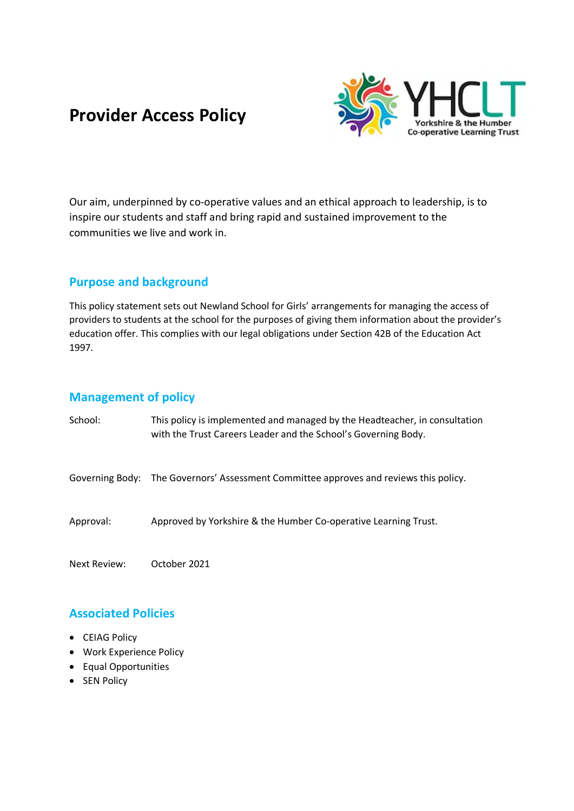# **Provider Access Policy**



Our aim, underpinned by co-operative values and an ethical approach to leadership, is to inspire our students and staff and bring rapid and sustained improvement to the communities we live and work in.

## **Purpose and background**

This policy statement sets out Newland School for Girls' arrangements for managing the access of providers to students at the school for the purposes of giving them information about the provider's education offer. This complies with our legal obligations under Section 42B of the Education Act 1997.

## **Management of policy**

School: This policy is implemented and managed by the Headteacher, in consultation with the Trust Careers Leader and the School's Governing Body.

Governing Body: The Governors' Assessment Committee approves and reviews this policy.

### Approval: Approved by Yorkshire & the Humber Co-operative Learning Trust.

Next Review: October 2021

## **Associated Policies**

- CEIAG Policy
- Work Experience Policy
- Equal Opportunities
- SEN Policy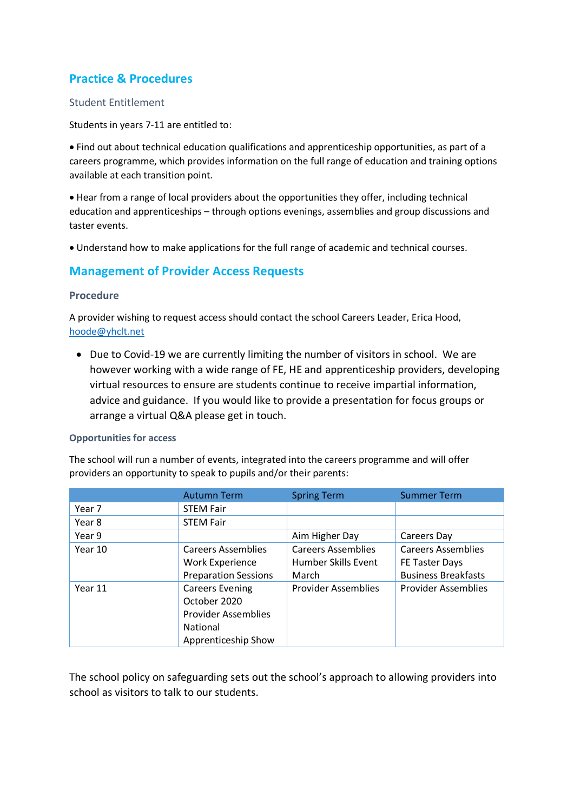# **Practice & Procedures**

## Student Entitlement

Students in years 7-11 are entitled to:

• Find out about technical education qualifications and apprenticeship opportunities, as part of a careers programme, which provides information on the full range of education and training options available at each transition point.

• Hear from a range of local providers about the opportunities they offer, including technical education and apprenticeships – through options evenings, assemblies and group discussions and taster events.

• Understand how to make applications for the full range of academic and technical courses.

## **Management of Provider Access Requests**

#### **Procedure**

A provider wishing to request access should contact the school Careers Leader, Erica Hood, hoode@yhclt.net

• Due to Covid-19 we are currently limiting the number of visitors in school. We are however working with a wide range of FE, HE and apprenticeship providers, developing virtual resources to ensure are students continue to receive impartial information, advice and guidance. If you would like to provide a presentation for focus groups or arrange a virtual Q&A please get in touch.

#### **Opportunities for access**

The school will run a number of events, integrated into the careers programme and will offer providers an opportunity to speak to pupils and/or their parents:

|         | <b>Autumn Term</b>                                                                                      | <b>Spring Term</b>                                               | <b>Summer Term</b>                                                        |
|---------|---------------------------------------------------------------------------------------------------------|------------------------------------------------------------------|---------------------------------------------------------------------------|
| Year 7  | <b>STEM Fair</b>                                                                                        |                                                                  |                                                                           |
| Year 8  | <b>STEM Fair</b>                                                                                        |                                                                  |                                                                           |
| Year 9  |                                                                                                         | Aim Higher Day                                                   | Careers Day                                                               |
| Year 10 | <b>Careers Assemblies</b><br>Work Experience<br><b>Preparation Sessions</b>                             | <b>Careers Assemblies</b><br><b>Humber Skills Event</b><br>March | <b>Careers Assemblies</b><br>FE Taster Days<br><b>Business Breakfasts</b> |
| Year 11 | <b>Careers Evening</b><br>October 2020<br><b>Provider Assemblies</b><br>National<br>Apprenticeship Show | <b>Provider Assemblies</b>                                       | <b>Provider Assemblies</b>                                                |

The school policy on safeguarding sets out the school's approach to allowing providers into school as visitors to talk to our students.